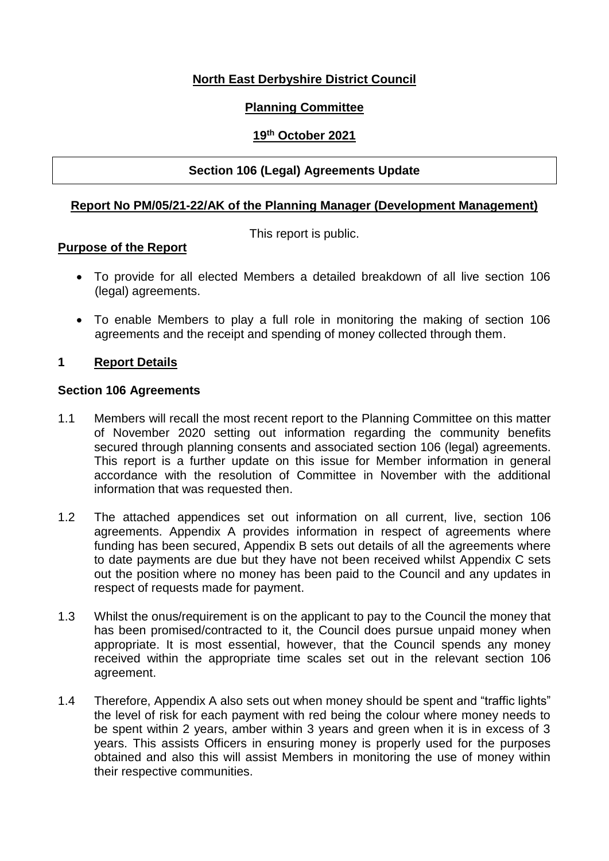# **North East Derbyshire District Council**

# **Planning Committee**

## **19th October 2021**

## **Section 106 (Legal) Agreements Update**

## **Report No PM/05/21-22/AK of the Planning Manager (Development Management)**

This report is public.

#### **Purpose of the Report**

- To provide for all elected Members a detailed breakdown of all live section 106 (legal) agreements.
- To enable Members to play a full role in monitoring the making of section 106 agreements and the receipt and spending of money collected through them.

#### **1 Report Details**

#### **Section 106 Agreements**

- 1.1 Members will recall the most recent report to the Planning Committee on this matter of November 2020 setting out information regarding the community benefits secured through planning consents and associated section 106 (legal) agreements. This report is a further update on this issue for Member information in general accordance with the resolution of Committee in November with the additional information that was requested then.
- 1.2 The attached appendices set out information on all current, live, section 106 agreements. Appendix A provides information in respect of agreements where funding has been secured, Appendix B sets out details of all the agreements where to date payments are due but they have not been received whilst Appendix C sets out the position where no money has been paid to the Council and any updates in respect of requests made for payment.
- 1.3 Whilst the onus/requirement is on the applicant to pay to the Council the money that has been promised/contracted to it, the Council does pursue unpaid money when appropriate. It is most essential, however, that the Council spends any money received within the appropriate time scales set out in the relevant section 106 agreement.
- 1.4 Therefore, Appendix A also sets out when money should be spent and "traffic lights" the level of risk for each payment with red being the colour where money needs to be spent within 2 years, amber within 3 years and green when it is in excess of 3 years. This assists Officers in ensuring money is properly used for the purposes obtained and also this will assist Members in monitoring the use of money within their respective communities.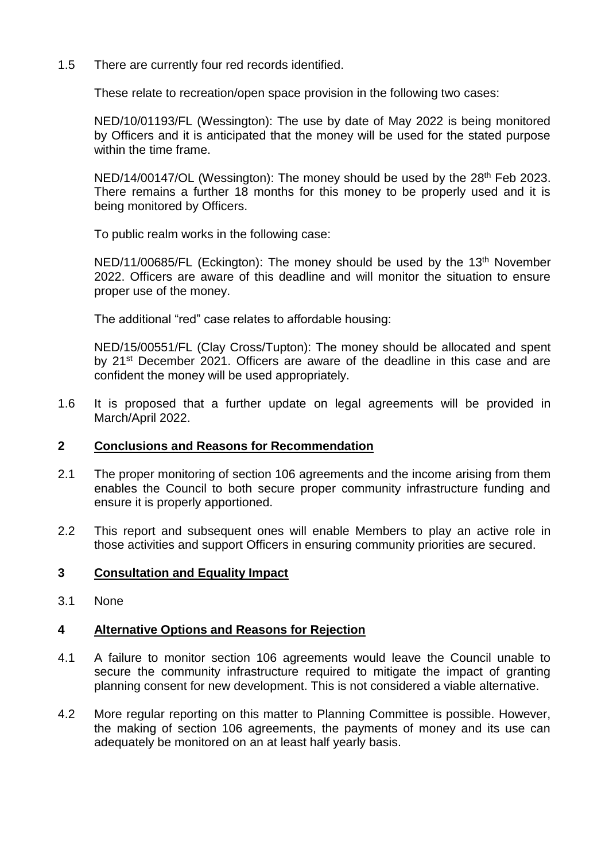1.5 There are currently four red records identified.

These relate to recreation/open space provision in the following two cases:

NED/10/01193/FL (Wessington): The use by date of May 2022 is being monitored by Officers and it is anticipated that the money will be used for the stated purpose within the time frame.

NED/14/00147/OL (Wessington): The money should be used by the 28<sup>th</sup> Feb 2023. There remains a further 18 months for this money to be properly used and it is being monitored by Officers.

To public realm works in the following case:

NED/11/00685/FL (Eckington): The money should be used by the 13<sup>th</sup> November 2022. Officers are aware of this deadline and will monitor the situation to ensure proper use of the money.

The additional "red" case relates to affordable housing:

NED/15/00551/FL (Clay Cross/Tupton): The money should be allocated and spent by 21<sup>st</sup> December 2021. Officers are aware of the deadline in this case and are confident the money will be used appropriately.

1.6 It is proposed that a further update on legal agreements will be provided in March/April 2022.

#### **2 Conclusions and Reasons for Recommendation**

- 2.1 The proper monitoring of section 106 agreements and the income arising from them enables the Council to both secure proper community infrastructure funding and ensure it is properly apportioned.
- 2.2 This report and subsequent ones will enable Members to play an active role in those activities and support Officers in ensuring community priorities are secured.

#### **3 Consultation and Equality Impact**

3.1 None

#### **4 Alternative Options and Reasons for Rejection**

- 4.1 A failure to monitor section 106 agreements would leave the Council unable to secure the community infrastructure required to mitigate the impact of granting planning consent for new development. This is not considered a viable alternative.
- 4.2 More regular reporting on this matter to Planning Committee is possible. However, the making of section 106 agreements, the payments of money and its use can adequately be monitored on an at least half yearly basis.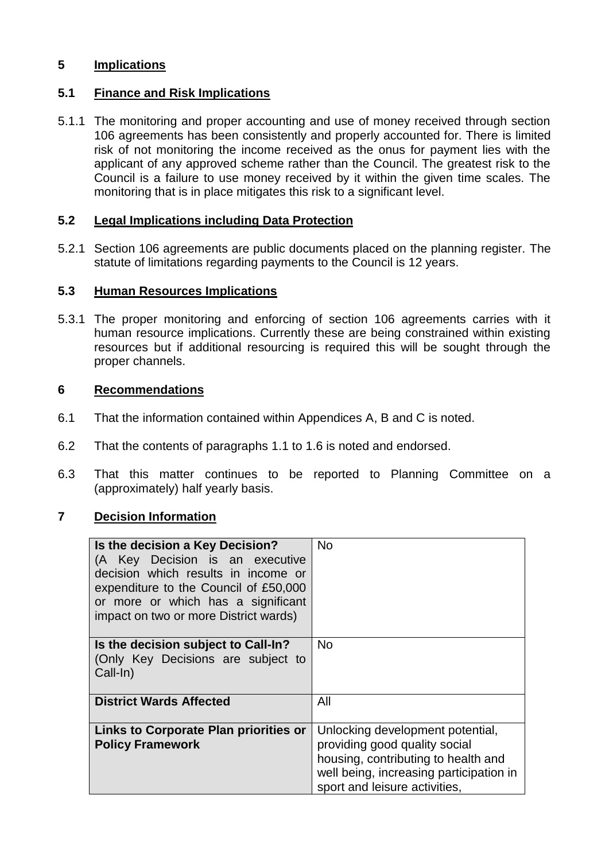## **5 Implications**

## **5.1 Finance and Risk Implications**

5.1.1 The monitoring and proper accounting and use of money received through section 106 agreements has been consistently and properly accounted for. There is limited risk of not monitoring the income received as the onus for payment lies with the applicant of any approved scheme rather than the Council. The greatest risk to the Council is a failure to use money received by it within the given time scales. The monitoring that is in place mitigates this risk to a significant level.

#### **5.2 Legal Implications including Data Protection**

5.2.1 Section 106 agreements are public documents placed on the planning register. The statute of limitations regarding payments to the Council is 12 years.

#### **5.3 Human Resources Implications**

5.3.1 The proper monitoring and enforcing of section 106 agreements carries with it human resource implications. Currently these are being constrained within existing resources but if additional resourcing is required this will be sought through the proper channels.

#### **6 Recommendations**

- 6.1 That the information contained within Appendices A, B and C is noted.
- 6.2 That the contents of paragraphs 1.1 to 1.6 is noted and endorsed.
- 6.3 That this matter continues to be reported to Planning Committee on a (approximately) half yearly basis.

## **7 Decision Information**

| Is the decision a Key Decision?<br>(A Key Decision is an executive<br>decision which results in income or<br>expenditure to the Council of £50,000<br>or more or which has a significant<br>impact on two or more District wards) | No.                                                                                                                                                                                  |
|-----------------------------------------------------------------------------------------------------------------------------------------------------------------------------------------------------------------------------------|--------------------------------------------------------------------------------------------------------------------------------------------------------------------------------------|
| Is the decision subject to Call-In?<br>(Only Key Decisions are subject to<br>Call-In)                                                                                                                                             | <b>No</b>                                                                                                                                                                            |
| <b>District Wards Affected</b>                                                                                                                                                                                                    | All                                                                                                                                                                                  |
| Links to Corporate Plan priorities or<br><b>Policy Framework</b>                                                                                                                                                                  | Unlocking development potential,<br>providing good quality social<br>housing, contributing to health and<br>well being, increasing participation in<br>sport and leisure activities, |